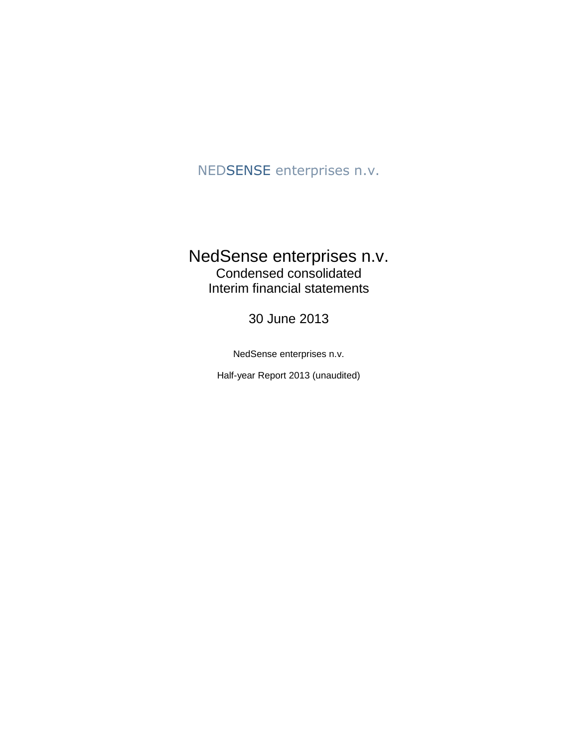## NEDSENSE enterprises n.v.

## NedSense enterprises n.v. Condensed consolidated Interim financial statements

30 June 2013

NedSense enterprises n.v.

Half-year Report 2013 (unaudited)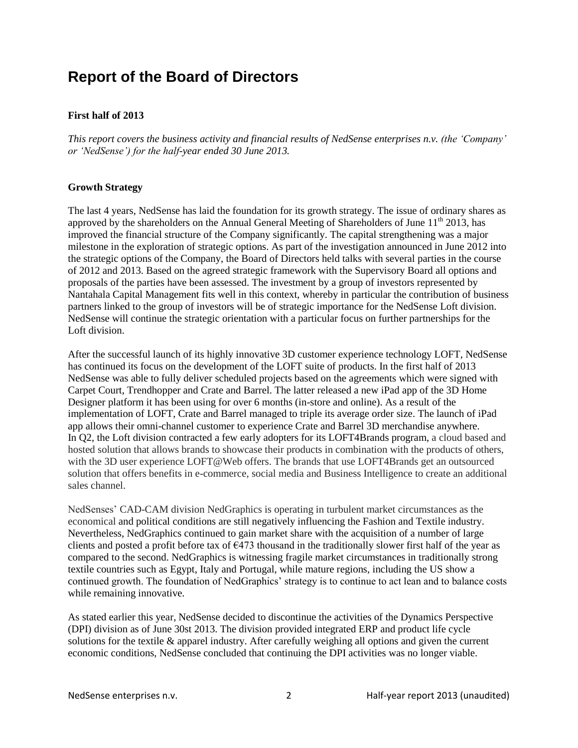# **Report of the Board of Directors**

#### **First half of 2013**

*This report covers the business activity and financial results of NedSense enterprises n.v. (the 'Company' or 'NedSense') for the half-year ended 30 June 2013.* 

#### **Growth Strategy**

The last 4 years, NedSense has laid the foundation for its growth strategy. The issue of ordinary shares as approved by the shareholders on the Annual General Meeting of Shareholders of June  $11<sup>th</sup>$  2013, has improved the financial structure of the Company significantly. The capital strengthening was a major milestone in the exploration of strategic options. As part of the investigation announced in June 2012 into the strategic options of the Company, the Board of Directors held talks with several parties in the course of 2012 and 2013. Based on the agreed strategic framework with the Supervisory Board all options and proposals of the parties have been assessed. The investment by a group of investors represented by Nantahala Capital Management fits well in this context, whereby in particular the contribution of business partners linked to the group of investors will be of strategic importance for the NedSense Loft division. NedSense will continue the strategic orientation with a particular focus on further partnerships for the Loft division.

After the successful launch of its highly innovative 3D customer experience technology LOFT, NedSense has continued its focus on the development of the LOFT suite of products. In the first half of 2013 NedSense was able to fully deliver scheduled projects based on the agreements which were signed with Carpet Court, Trendhopper and Crate and Barrel. The latter released a new iPad app of the 3D Home Designer platform it has been using for over 6 months (in-store and online). As a result of the implementation of LOFT, Crate and Barrel managed to triple its average order size. The launch of iPad app allows their omni-channel customer to experience Crate and Barrel 3D merchandise anywhere. In Q2, the Loft division contracted a few early adopters for its LOFT4Brands program, a cloud based and hosted solution that allows brands to showcase their products in combination with the products of others, with the 3D user experience LOFT@Web offers. The brands that use LOFT4Brands get an outsourced solution that offers benefits in e-commerce, social media and Business Intelligence to create an additional sales channel.

NedSenses' CAD-CAM division NedGraphics is operating in turbulent market circumstances as the economical and political conditions are still negatively influencing the Fashion and Textile industry. Nevertheless, NedGraphics continued to gain market share with the acquisition of a number of large clients and posted a profit before tax of  $\epsilon$ 473 thousand in the traditionally slower first half of the year as compared to the second. NedGraphics is witnessing fragile market circumstances in traditionally strong textile countries such as Egypt, Italy and Portugal, while mature regions, including the US show a continued growth. The foundation of NedGraphics' strategy is to continue to act lean and to balance costs while remaining innovative.

As stated earlier this year, NedSense decided to discontinue the activities of the Dynamics Perspective (DPI) division as of June 30st 2013. The division provided integrated ERP and product life cycle solutions for the textile & apparel industry. After carefully weighing all options and given the current economic conditions, NedSense concluded that continuing the DPI activities was no longer viable.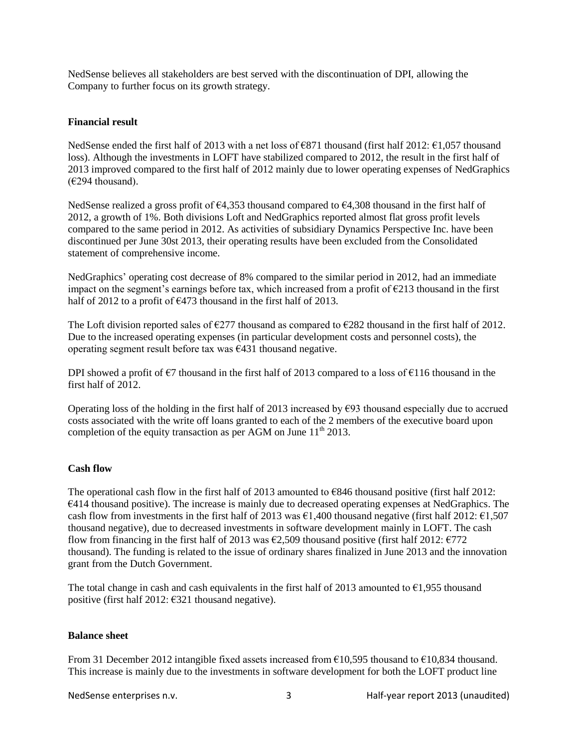NedSense believes all stakeholders are best served with the discontinuation of DPI, allowing the Company to further focus on its growth strategy.

#### **Financial result**

NedSense ended the first half of 2013 with a net loss of €871 thousand (first half 2012: €1,057 thousand loss). Although the investments in LOFT have stabilized compared to 2012, the result in the first half of 2013 improved compared to the first half of 2012 mainly due to lower operating expenses of NedGraphics  $(E294$  thousand).

NedSense realized a gross profit of €4,353 thousand compared to €4,308 thousand in the first half of 2012, a growth of 1%. Both divisions Loft and NedGraphics reported almost flat gross profit levels compared to the same period in 2012. As activities of subsidiary Dynamics Perspective Inc. have been discontinued per June 30st 2013, their operating results have been excluded from the Consolidated statement of comprehensive income.

NedGraphics' operating cost decrease of 8% compared to the similar period in 2012, had an immediate impact on the segment's earnings before tax, which increased from a profit of  $\epsilon$ 213 thousand in the first half of 2012 to a profit of  $\epsilon$ 473 thousand in the first half of 2013.

The Loft division reported sales of  $\epsilon$ 277 thousand as compared to  $\epsilon$ 282 thousand in the first half of 2012. Due to the increased operating expenses (in particular development costs and personnel costs), the operating segment result before tax was  $\epsilon$ 431 thousand negative.

DPI showed a profit of  $\epsilon$ 7 thousand in the first half of 2013 compared to a loss of  $\epsilon$ 116 thousand in the first half of 2012.

Operating loss of the holding in the first half of 2013 increased by  $\epsilon$ 93 thousand especially due to accrued costs associated with the write off loans granted to each of the 2 members of the executive board upon completion of the equity transaction as per AGM on June  $11<sup>th</sup> 2013$ .

#### **Cash flow**

The operational cash flow in the first half of 2013 amounted to €846 thousand positive (first half 2012: €414 thousand positive). The increase is mainly due to decreased operating expenses at NedGraphics. The cash flow from investments in the first half of 2013 was  $\epsilon$ 1,400 thousand negative (first half 2012:  $\epsilon$ 1,507 thousand negative), due to decreased investments in software development mainly in LOFT. The cash flow from financing in the first half of 2013 was  $\epsilon$ 2,509 thousand positive (first half 2012:  $\epsilon$ 772 thousand). The funding is related to the issue of ordinary shares finalized in June 2013 and the innovation grant from the Dutch Government.

The total change in cash and cash equivalents in the first half of 2013 amounted to  $\epsilon$ 1,955 thousand positive (first half 2012: €321 thousand negative).

#### **Balance sheet**

From 31 December 2012 intangible fixed assets increased from €10,595 thousand to €10,834 thousand. This increase is mainly due to the investments in software development for both the LOFT product line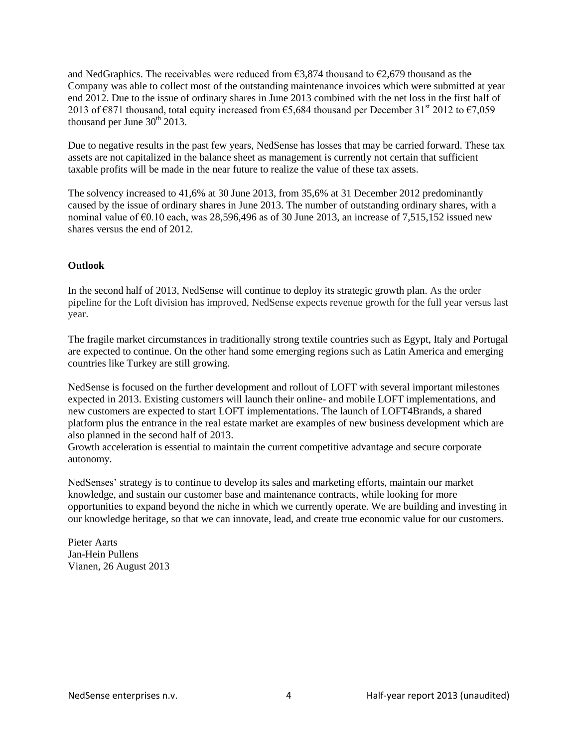and NedGraphics. The receivables were reduced from  $\epsilon$ 3,874 thousand to  $\epsilon$ 2,679 thousand as the Company was able to collect most of the outstanding maintenance invoices which were submitted at year end 2012. Due to the issue of ordinary shares in June 2013 combined with the net loss in the first half of 2013 of  $\epsilon$ 871 thousand, total equity increased from  $\epsilon$ 5,684 thousand per December 31<sup>st</sup> 2012 to  $\epsilon$ 7,059 thousand per June  $30<sup>th</sup> 2013$ .

Due to negative results in the past few years, NedSense has losses that may be carried forward. These tax assets are not capitalized in the balance sheet as management is currently not certain that sufficient taxable profits will be made in the near future to realize the value of these tax assets.

The solvency increased to 41,6% at 30 June 2013, from 35,6% at 31 December 2012 predominantly caused by the issue of ordinary shares in June 2013. The number of outstanding ordinary shares, with a nominal value of  $\epsilon$ 0.10 each, was 28,596,496 as of 30 June 2013, an increase of 7,515,152 issued new shares versus the end of 2012.

#### **Outlook**

In the second half of 2013, NedSense will continue to deploy its strategic growth plan. As the order pipeline for the Loft division has improved, NedSense expects revenue growth for the full year versus last year.

The fragile market circumstances in traditionally strong textile countries such as Egypt, Italy and Portugal are expected to continue. On the other hand some emerging regions such as Latin America and emerging countries like Turkey are still growing.

NedSense is focused on the further development and rollout of LOFT with several important milestones expected in 2013. Existing customers will launch their online- and mobile LOFT implementations, and new customers are expected to start LOFT implementations. The launch of LOFT4Brands, a shared platform plus the entrance in the real estate market are examples of new business development which are also planned in the second half of 2013.

Growth acceleration is essential to maintain the current competitive advantage and secure corporate autonomy.

NedSenses' strategy is to continue to develop its sales and marketing efforts, maintain our market knowledge, and sustain our customer base and maintenance contracts, while looking for more opportunities to expand beyond the niche in which we currently operate. We are building and investing in our knowledge heritage, so that we can innovate, lead, and create true economic value for our customers.

Pieter Aarts Jan-Hein Pullens Vianen, 26 August 2013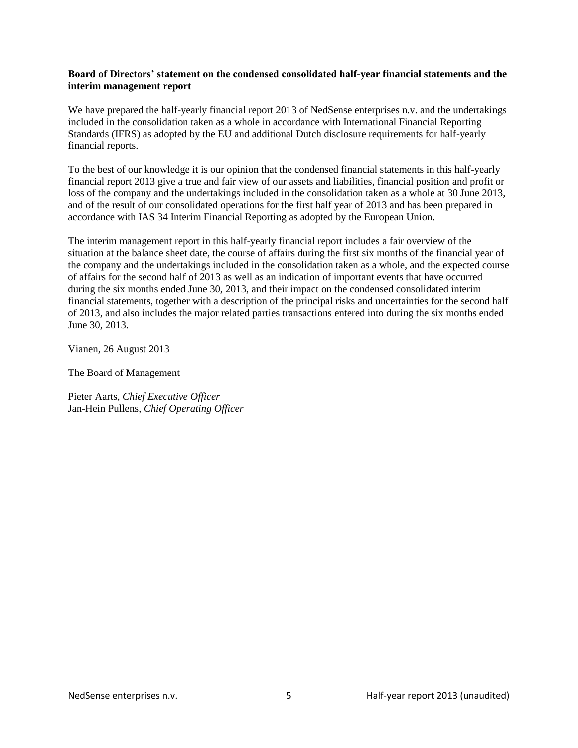#### **Board of Directors' statement on the condensed consolidated half-year financial statements and the interim management report**

We have prepared the half-yearly financial report 2013 of NedSense enterprises n.v. and the undertakings included in the consolidation taken as a whole in accordance with International Financial Reporting Standards (IFRS) as adopted by the EU and additional Dutch disclosure requirements for half-yearly financial reports.

To the best of our knowledge it is our opinion that the condensed financial statements in this half-yearly financial report 2013 give a true and fair view of our assets and liabilities, financial position and profit or loss of the company and the undertakings included in the consolidation taken as a whole at 30 June 2013, and of the result of our consolidated operations for the first half year of 2013 and has been prepared in accordance with IAS 34 Interim Financial Reporting as adopted by the European Union.

The interim management report in this half-yearly financial report includes a fair overview of the situation at the balance sheet date, the course of affairs during the first six months of the financial year of the company and the undertakings included in the consolidation taken as a whole, and the expected course of affairs for the second half of 2013 as well as an indication of important events that have occurred during the six months ended June 30, 2013, and their impact on the condensed consolidated interim financial statements, together with a description of the principal risks and uncertainties for the second half of 2013, and also includes the major related parties transactions entered into during the six months ended June 30, 2013.

Vianen, 26 August 2013

The Board of Management

Pieter Aarts, *Chief Executive Officer* Jan-Hein Pullens, *Chief Operating Officer*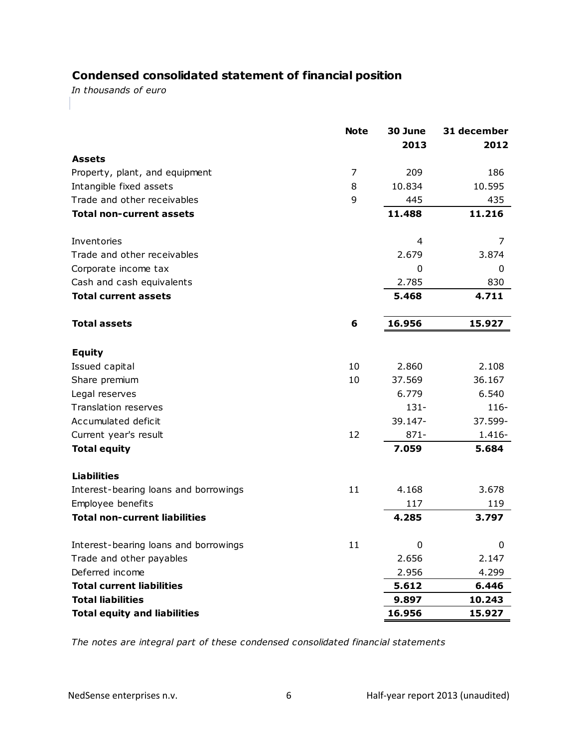## **Condensed consolidated statement of financial position**

*In thousands of euro*

|                                       | <b>Note</b> | 30 June<br>2013 | 31 december<br>2012 |
|---------------------------------------|-------------|-----------------|---------------------|
| <b>Assets</b>                         |             |                 |                     |
| Property, plant, and equipment        | 7           | 209             | 186                 |
| Intangible fixed assets               | 8           | 10.834          | 10.595              |
| Trade and other receivables           | 9           | 445             | 435                 |
| <b>Total non-current assets</b>       |             | 11.488          | 11.216              |
| Inventories                           |             | 4               | 7                   |
| Trade and other receivables           |             | 2.679           | 3.874               |
| Corporate income tax                  |             | 0               | 0                   |
| Cash and cash equivalents             |             | 2.785           | 830                 |
| <b>Total current assets</b>           |             | 5.468           | 4.711               |
| <b>Total assets</b>                   | 6           | 16.956          | 15.927              |
| <b>Equity</b>                         |             |                 |                     |
| Issued capital                        | 10          | 2.860           | 2.108               |
| Share premium                         | 10          | 37.569          | 36.167              |
| Legal reserves                        |             | 6.779           | 6.540               |
| <b>Translation reserves</b>           |             | $131 -$         | $116 -$             |
| Accumulated deficit                   |             | 39.147-         | 37.599-             |
| Current year's result                 | 12          | $871 -$         | $1.416 -$           |
| <b>Total equity</b>                   |             | 7.059           | 5.684               |
| <b>Liabilities</b>                    |             |                 |                     |
| Interest-bearing loans and borrowings | 11          | 4.168           | 3.678               |
| Employee benefits                     |             | 117             | 119                 |
| <b>Total non-current liabilities</b>  |             | 4.285           | 3.797               |
| Interest-bearing loans and borrowings | 11          | 0               | 0                   |
| Trade and other payables              |             | 2.656           | 2.147               |
| Deferred income                       |             | 2.956           | 4.299               |
| <b>Total current liabilities</b>      |             | 5.612           | 6.446               |
| <b>Total liabilities</b>              |             | 9.897           | 10.243              |
| <b>Total equity and liabilities</b>   |             | 16.956          | 15.927              |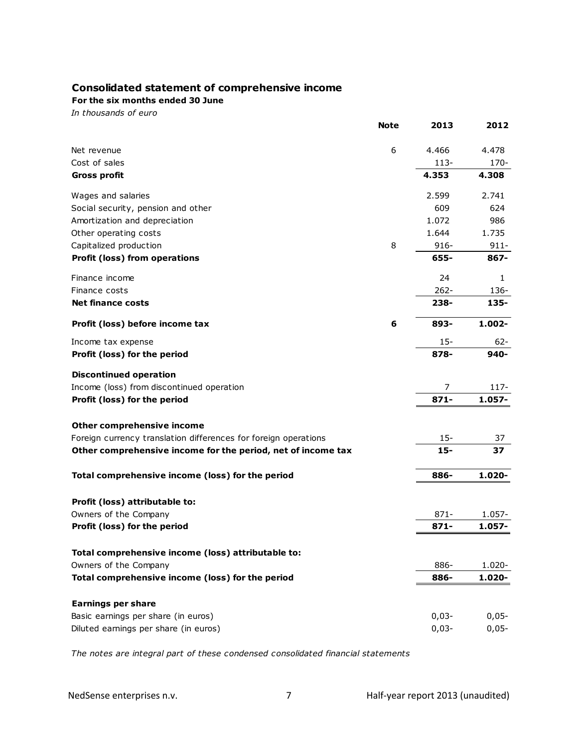### **Consolidated statement of comprehensive income**

**For the six months ended 30 June**

*In thousands of euro*

|                                                                 | <b>Note</b> | 2013    | 2012      |
|-----------------------------------------------------------------|-------------|---------|-----------|
| Net revenue                                                     | 6           | 4.466   | 4.478     |
| Cost of sales                                                   |             | $113-$  | 170-      |
| <b>Gross profit</b>                                             |             | 4.353   | 4.308     |
| Wages and salaries                                              |             | 2.599   | 2.741     |
| Social security, pension and other                              |             | 609     | 624       |
| Amortization and depreciation                                   |             | 1.072   | 986       |
| Other operating costs                                           |             | 1.644   | 1.735     |
| Capitalized production                                          | 8           | $916 -$ | $911 -$   |
| <b>Profit (loss) from operations</b>                            |             | 655-    | 867-      |
| Finance income                                                  |             | 24      | 1         |
| Finance costs                                                   |             | $262 -$ | 136-      |
| <b>Net finance costs</b>                                        |             | 238-    | 135-      |
| Profit (loss) before income tax                                 | 6           | 893-    | $1.002 -$ |
| Income tax expense                                              |             | $15 -$  | $62 -$    |
| Profit (loss) for the period                                    |             | 878-    | 940-      |
| <b>Discontinued operation</b>                                   |             |         |           |
| Income (loss) from discontinued operation                       |             | 7       | 117-      |
| Profit (loss) for the period                                    |             | $871 -$ | 1.057-    |
| Other comprehensive income                                      |             |         |           |
| Foreign currency translation differences for foreign operations |             | $15 -$  | 37        |
| Other comprehensive income for the period, net of income tax    |             | $15 -$  | 37        |
| Total comprehensive income (loss) for the period                |             | 886-    | 1.020-    |
|                                                                 |             |         |           |
| Profit (loss) attributable to:                                  |             |         |           |
| Owners of the Company                                           |             | $871 -$ | 1.057-    |
| Profit (loss) for the period                                    |             | $871 -$ | 1.057-    |
| Total comprehensive income (loss) attributable to:              |             |         |           |
| Owners of the Company                                           |             | 886-    | 1.020-    |
| Total comprehensive income (loss) for the period                |             | 886-    | 1.020-    |
| <b>Earnings per share</b>                                       |             |         |           |
| Basic earnings per share (in euros)                             |             | $0,03-$ | $0,05-$   |
| Diluted earnings per share (in euros)                           |             | $0,03-$ | $0,05-$   |
|                                                                 |             |         |           |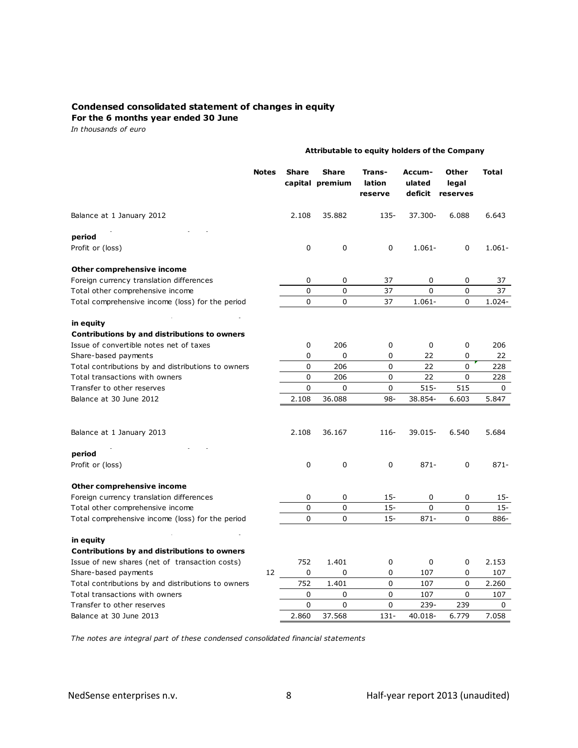### **Condensed consolidated statement of changes in equity**

**For the 6 months year ended 30 June**

*In thousands of euro*

|                                                    |              | Attributable to equity holders of the Company |                                 |                             |                             |                            |              |  |  |  |  |
|----------------------------------------------------|--------------|-----------------------------------------------|---------------------------------|-----------------------------|-----------------------------|----------------------------|--------------|--|--|--|--|
|                                                    | <b>Notes</b> | <b>Share</b>                                  | <b>Share</b><br>capital premium | Trans-<br>lation<br>reserve | Accum-<br>ulated<br>deficit | Other<br>legal<br>reserves | <b>Total</b> |  |  |  |  |
| Balance at 1 January 2012                          |              | 2.108                                         | 35.882                          | 135-                        | 37.300-                     | 6.088                      | 6.643        |  |  |  |  |
| period                                             |              |                                               |                                 |                             |                             |                            |              |  |  |  |  |
| Profit or (loss)                                   |              | $\Omega$                                      | 0                               | 0                           | $1.061 -$                   | 0                          | $1.061 -$    |  |  |  |  |
| <b>Other comprehensive income</b>                  |              |                                               |                                 |                             |                             |                            |              |  |  |  |  |
| Foreign currency translation differences           |              | 0                                             | 0                               | 37                          | 0                           | 0                          | 37           |  |  |  |  |
| Total other comprehensive income                   |              | 0                                             | 0                               | 37                          | 0                           | 0                          | 37           |  |  |  |  |
| Total comprehensive income (loss) for the period   |              | 0                                             | 0                               | 37                          | $1.061 -$                   | 0                          | 1.024-       |  |  |  |  |
| in equity                                          |              |                                               |                                 |                             |                             |                            |              |  |  |  |  |
| Contributions by and distributions to owners       |              |                                               |                                 |                             |                             |                            |              |  |  |  |  |
| Issue of convertible notes net of taxes            |              | 0                                             | 206                             | 0                           | 0                           | 0                          | 206          |  |  |  |  |
| Share-based payments                               |              | 0                                             | 0                               | 0                           | 22                          | 0                          | 22           |  |  |  |  |
| Total contributions by and distributions to owners |              | 0                                             | 206                             | 0                           | 22                          | 0                          | 228          |  |  |  |  |
| Total transactions with owners                     |              | 0                                             | 206                             | $\mathbf 0$                 | 22                          | 0                          | 228          |  |  |  |  |
| Transfer to other reserves                         |              | $\Omega$                                      | 0                               | 0                           | $515-$                      | 515                        | 0            |  |  |  |  |
| Balance at 30 June 2012                            |              | 2.108                                         | 36.088                          | $98 -$                      | 38.854-                     | 6.603                      | 5.847        |  |  |  |  |
| Balance at 1 January 2013                          |              | 2.108                                         | 36.167                          | 116-                        | 39.015-                     | 6.540                      | 5.684        |  |  |  |  |
| period                                             |              |                                               |                                 |                             |                             |                            |              |  |  |  |  |
| Profit or (loss)                                   |              | 0                                             | 0                               | 0                           | $871 -$                     | 0                          | $871 -$      |  |  |  |  |
| Other comprehensive income                         |              |                                               |                                 |                             |                             |                            |              |  |  |  |  |
| Foreign currency translation differences           |              | 0                                             | 0                               | $15 -$                      | 0                           | 0                          | 15-          |  |  |  |  |
| Total other comprehensive income                   |              | 0                                             | 0                               | $15 -$                      | 0                           | 0                          | $15 -$       |  |  |  |  |
| Total comprehensive income (loss) for the period   |              | 0                                             | 0                               | $15 -$                      | $871 -$                     | $\Omega$                   | 886-         |  |  |  |  |
| in equity                                          |              |                                               |                                 |                             |                             |                            |              |  |  |  |  |
| Contributions by and distributions to owners       |              |                                               |                                 |                             |                             |                            |              |  |  |  |  |
| Issue of new shares (net of transaction costs)     |              | 752                                           | 1.401                           | 0                           | 0                           | 0                          | 2.153        |  |  |  |  |
| Share-based payments                               | 12           | 0                                             | 0                               | 0                           | 107                         | 0                          | 107          |  |  |  |  |
| Total contributions by and distributions to owners |              | 752                                           | 1.401                           | 0                           | 107                         | 0                          | 2.260        |  |  |  |  |
| Total transactions with owners                     |              | $\Omega$                                      | $\Omega$                        | 0                           | 107                         | 0                          | 107          |  |  |  |  |
| Transfer to other reserves                         |              | 0                                             | 0                               | 0                           | 239-                        | 239                        | 0            |  |  |  |  |
| Balance at 30 June 2013                            |              | 2.860                                         | 37.568                          | $131 -$                     | 40.018-                     | 6.779                      | 7.058        |  |  |  |  |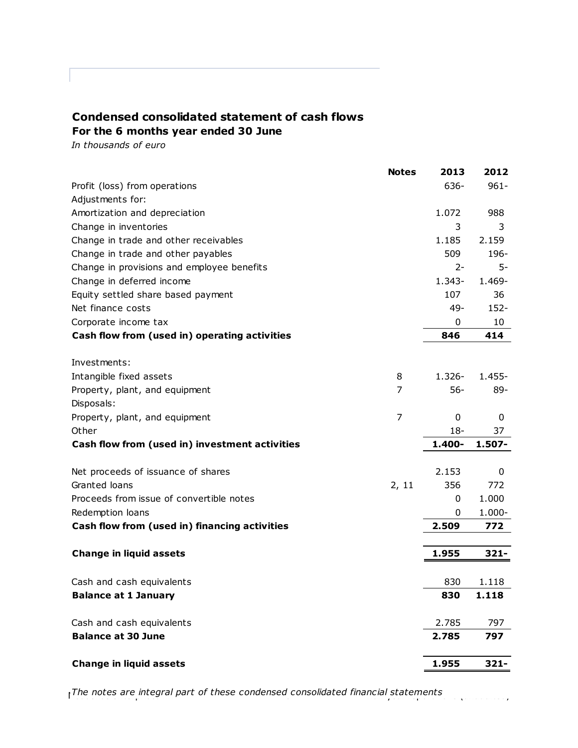### **Condensed consolidated statement of cash flows For the 6 months year ended 30 June**

*In thousands of euro*

|                                                | <b>Notes</b> | 2013      | 2012      |
|------------------------------------------------|--------------|-----------|-----------|
| Profit (loss) from operations                  |              | 636-      | $961 -$   |
| Adjustments for:                               |              |           |           |
| Amortization and depreciation                  |              | 1.072     | 988       |
| Change in inventories                          |              | 3         | 3         |
| Change in trade and other receivables          |              | 1.185     | 2.159     |
| Change in trade and other payables             |              | 509       | 196-      |
| Change in provisions and employee benefits     |              | $2 -$     | 5-        |
| Change in deferred income                      |              | $1.343 -$ | 1.469-    |
| Equity settled share based payment             |              | 107       | 36        |
| Net finance costs                              |              | $49-$     | $152 -$   |
| Corporate income tax                           |              | 0         | 10        |
| Cash flow from (used in) operating activities  |              | 846       | 414       |
|                                                |              |           |           |
| Investments:                                   |              |           |           |
| Intangible fixed assets                        | 8            | $1.326 -$ | $1.455 -$ |
| Property, plant, and equipment                 | 7            | $56-$     | 89-       |
| Disposals:                                     |              |           |           |
| Property, plant, and equipment                 | 7            | 0         | 0         |
| Other                                          |              | $18 -$    | 37        |
| Cash flow from (used in) investment activities |              | 1.400-    | 1.507-    |
| Net proceeds of issuance of shares             |              | 2.153     | 0         |
| Granted loans                                  | 2, 11        | 356       | 772       |
| Proceeds from issue of convertible notes       |              | 0         | 1.000     |
| Redemption loans                               |              | 0         | $1.000 -$ |
| Cash flow from (used in) financing activities  |              | 2.509     | 772       |
|                                                |              |           |           |
| <b>Change in liquid assets</b>                 |              | 1.955     | $321 -$   |
|                                                |              |           |           |
| Cash and cash equivalents                      |              | 830       | 1.118     |
| <b>Balance at 1 January</b>                    |              | 830       | 1.118     |
| Cash and cash equivalents                      |              | 2.785     | 797       |
| <b>Balance at 30 June</b>                      |              | 2.785     | 797       |
| <b>Change in liquid assets</b>                 |              | 1.955     | $321 -$   |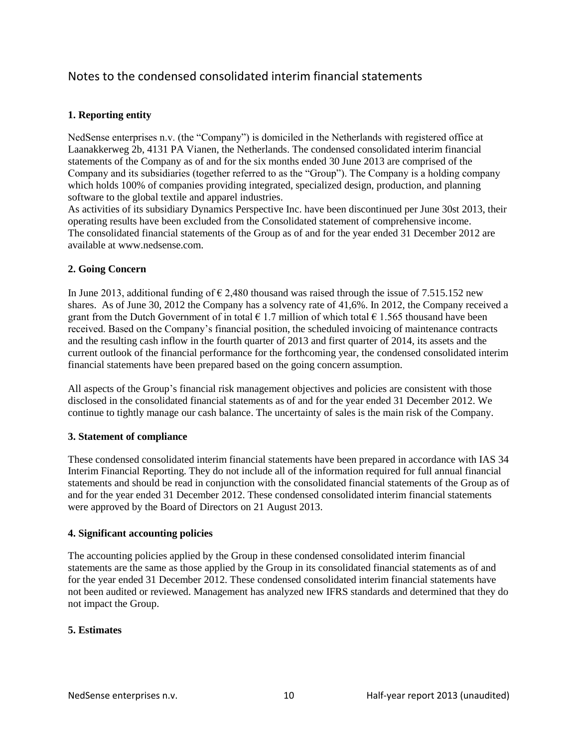## Notes to the condensed consolidated interim financial statements

### **1. Reporting entity**

NedSense enterprises n.v. (the "Company") is domiciled in the Netherlands with registered office at Laanakkerweg 2b, 4131 PA Vianen, the Netherlands. The condensed consolidated interim financial statements of the Company as of and for the six months ended 30 June 2013 are comprised of the Company and its subsidiaries (together referred to as the "Group"). The Company is a holding company which holds 100% of companies providing integrated, specialized design, production, and planning software to the global textile and apparel industries.

As activities of its subsidiary Dynamics Perspective Inc. have been discontinued per June 30st 2013, their operating results have been excluded from the Consolidated statement of comprehensive income. The consolidated financial statements of the Group as of and for the year ended 31 December 2012 are available at www.nedsense.com.

#### **2. Going Concern**

In June 2013, additional funding of  $\epsilon$  2,480 thousand was raised through the issue of 7.515.152 new shares. As of June 30, 2012 the Company has a solvency rate of 41,6%. In 2012, the Company received a grant from the Dutch Government of in total  $\epsilon$  1.7 million of which total  $\epsilon$  1.565 thousand have been received. Based on the Company's financial position, the scheduled invoicing of maintenance contracts and the resulting cash inflow in the fourth quarter of 2013 and first quarter of 2014, its assets and the current outlook of the financial performance for the forthcoming year, the condensed consolidated interim financial statements have been prepared based on the going concern assumption.

All aspects of the Group's financial risk management objectives and policies are consistent with those disclosed in the consolidated financial statements as of and for the year ended 31 December 2012. We continue to tightly manage our cash balance. The uncertainty of sales is the main risk of the Company.

#### **3. Statement of compliance**

These condensed consolidated interim financial statements have been prepared in accordance with IAS 34 Interim Financial Reporting. They do not include all of the information required for full annual financial statements and should be read in conjunction with the consolidated financial statements of the Group as of and for the year ended 31 December 2012. These condensed consolidated interim financial statements were approved by the Board of Directors on 21 August 2013.

#### **4. Significant accounting policies**

The accounting policies applied by the Group in these condensed consolidated interim financial statements are the same as those applied by the Group in its consolidated financial statements as of and for the year ended 31 December 2012. These condensed consolidated interim financial statements have not been audited or reviewed. Management has analyzed new IFRS standards and determined that they do not impact the Group.

#### **5. Estimates**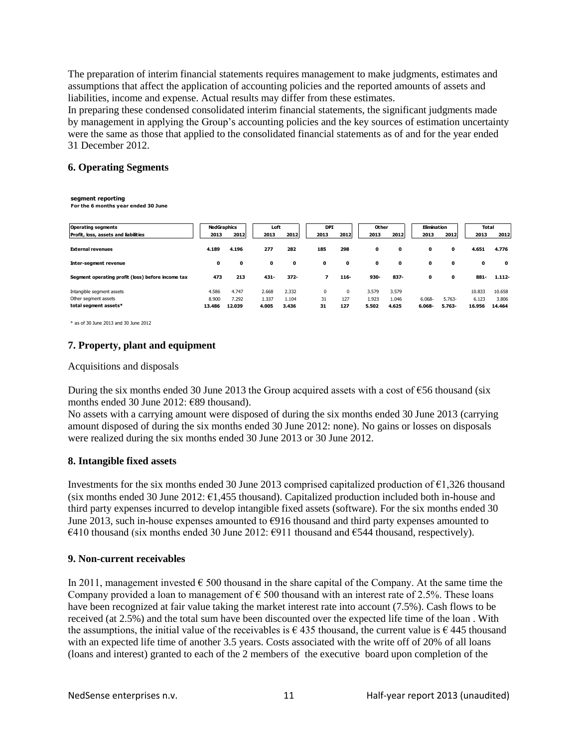The preparation of interim financial statements requires management to make judgments, estimates and assumptions that affect the application of accounting policies and the reported amounts of assets and liabilities, income and expense. Actual results may differ from these estimates.

In preparing these condensed consolidated interim financial statements, the significant judgments made by management in applying the Group's accounting policies and the key sources of estimation uncertainty were the same as those that applied to the consolidated financial statements as of and for the year ended 31 December 2012.

#### **6. Operating Segments**

#### **segment reporting**

**For the 6 months year ended 30 June**

| <b>Operating segments</b>                         | <b>NedGraphics</b> |        | Loft  |         | <b>DPI</b> |          | Other |       | Elimination |              | <b>Total</b> |             |
|---------------------------------------------------|--------------------|--------|-------|---------|------------|----------|-------|-------|-------------|--------------|--------------|-------------|
| Profit, loss, assets and liabilities              | 2013               | 2012   | 2013  | 2012    | 2013       | 2012     | 2013  | 2012  | 2013        | 2012         | 2013         | 2012        |
| <b>External revenues</b>                          | 4.189              | 4.196  | 277   | 282     | 185        | 298      | 0     | 0     | 0           | 0            | 4.651        | 4.776       |
| Inter-segment revenue                             | 0                  | 0      | 0     | 0       | 0          | 0        | 0     | 0     | 0           | $\mathbf{o}$ | 0            | $\mathbf 0$ |
| Segment operating profit (loss) before income tax | 473                | 213    | 431-  | $372 -$ | 7          | $116 -$  | 930-  | 837-  | 0           | 0            | 881-         | $1.112 -$   |
| Intangible segment assets                         | 4.586              | 4.747  | 2.668 | 2.332   | 0          | $\Omega$ | 3.579 | 3.579 |             |              | 10.833       | 10.658      |
| Other segment assets                              | 8.900              | 7.292  | 1.337 | 1.104   | 31         | 127      | 1.923 | 1.046 | 6.068-      | $5.763-$     | 6.123        | 3.806       |
| total segment assets*                             | 13.486             | 12.039 | 4.005 | 3.436   | 31         | 127      | 5.502 | 4.625 | $6.068 -$   | 5.763-       | 16.956       | 14.464      |
|                                                   |                    |        |       |         |            |          |       |       |             |              |              |             |

\* as of 30 June 2013 and 30 June 2012

### **7. Property, plant and equipment**

Acquisitions and disposals

During the six months ended 30 June 2013 the Group acquired assets with a cost of  $\epsilon$ 56 thousand (six months ended 30 June 2012: €89 thousand).

No assets with a carrying amount were disposed of during the six months ended 30 June 2013 (carrying amount disposed of during the six months ended 30 June 2012: none). No gains or losses on disposals were realized during the six months ended 30 June 2013 or 30 June 2012.

#### **8. Intangible fixed assets**

Investments for the six months ended 30 June 2013 comprised capitalized production of  $\epsilon$ 1,326 thousand (six months ended 30 June 2012:  $\epsilon$ 1,455 thousand). Capitalized production included both in-house and third party expenses incurred to develop intangible fixed assets (software). For the six months ended 30 June 2013, such in-house expenses amounted to  $\epsilon$ 916 thousand and third party expenses amounted to  $€410$  thousand (six months ended 30 June 2012:  $€911$  thousand and  $€544$  thousand, respectively).

#### **9. Non-current receivables**

In 2011, management invested  $\epsilon$  500 thousand in the share capital of the Company. At the same time the Company provided a loan to management of  $\epsilon$  500 thousand with an interest rate of 2.5%. These loans have been recognized at fair value taking the market interest rate into account (7.5%). Cash flows to be received (at 2.5%) and the total sum have been discounted over the expected life time of the loan . With the assumptions, the initial value of the receivables is  $\epsilon$  435 thousand, the current value is  $\epsilon$  445 thousand with an expected life time of another 3.5 years. Costs associated with the write off of 20% of all loans (loans and interest) granted to each of the 2 members of the executive board upon completion of the